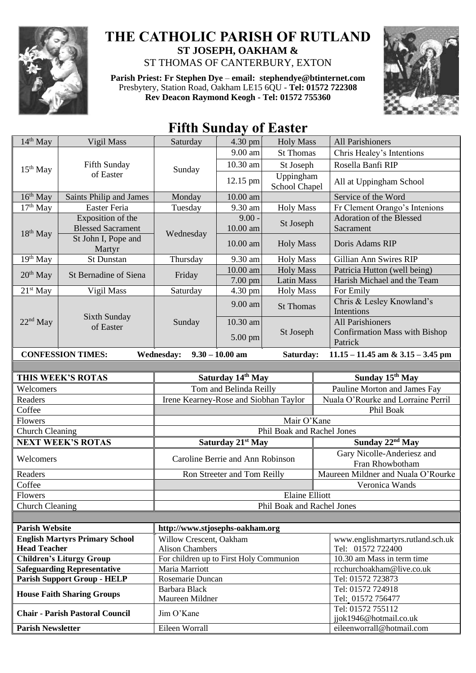

## **THE CATHOLIC PARISH OF RUTLAND ST JOSEPH, OAKHAM &**  ST THOMAS OF CANTERBURY, EXTON

**Parish Priest: Fr Stephen Dye** – **[email: stephendye@btinternet.com](mailto:email:%20%20stephendye@btinternet.com)** Presbytery, Station Road, Oakham LE15 6QU - **Tel: 01572 722308 Rev Deacon Raymond Keogh - Tel: 01572 755360**



## **Fifth Sunday of Easter**

| $14th$ May                                                                  | Vigil Mass                                    | Saturday                                          | 4.30 pm              | <b>Holy Mass</b>           | <b>All Parishioners</b>                                |  |
|-----------------------------------------------------------------------------|-----------------------------------------------|---------------------------------------------------|----------------------|----------------------------|--------------------------------------------------------|--|
| $15th$ May                                                                  | Fifth Sunday<br>of Easter                     | Sunday                                            | 9.00 am              | <b>St Thomas</b>           | Chris Healey's Intentions                              |  |
|                                                                             |                                               |                                                   | 10.30 am             | St Joseph                  | Rosella Banfi RIP                                      |  |
|                                                                             |                                               |                                                   | 12.15 pm             | Uppingham<br>School Chapel | All at Uppingham School                                |  |
| $16th$ May<br>Saints Philip and James                                       |                                               | Monday                                            | 10.00 am             |                            | Service of the Word                                    |  |
| $17th$ May                                                                  | <b>Easter Feria</b>                           | Tuesday                                           | 9.30 am              | <b>Holy Mass</b>           | Fr Clement Orango's Intenions                          |  |
| 18 <sup>th</sup> May                                                        | Exposition of the<br><b>Blessed Sacrament</b> | Wednesday                                         | $9.00 -$<br>10.00 am | St Joseph                  | Adoration of the Blessed<br>Sacrament                  |  |
|                                                                             | St John I, Pope and<br>Martyr                 |                                                   | 10.00 am             | <b>Holy Mass</b>           | Doris Adams RIP                                        |  |
| $19th$ May                                                                  | St Dunstan                                    | Thursday                                          | 9.30 am              | <b>Holy Mass</b>           | Gillian Ann Swires RIP                                 |  |
| $20th$ May                                                                  | St Bernadine of Siena                         | Friday                                            | 10.00 am             | <b>Holy Mass</b>           | Patricia Hutton (well being)                           |  |
|                                                                             |                                               |                                                   | 7.00 pm              | <b>Latin Mass</b>          | Harish Michael and the Team                            |  |
| $21st$ May                                                                  | Vigil Mass                                    | Saturday                                          | 4.30 pm              | <b>Holy Mass</b>           | For Emily                                              |  |
| $22nd$ May                                                                  | Sixth Sunday<br>of Easter                     | Sunday                                            | 9.00 am              | <b>St Thomas</b>           | Chris & Lesley Knowland's<br>Intentions                |  |
|                                                                             |                                               |                                                   | 10.30 am             |                            | <b>All Parishioners</b>                                |  |
|                                                                             |                                               |                                                   | 5.00 pm              | St Joseph                  | <b>Confirmation Mass with Bishop</b><br>Patrick        |  |
|                                                                             | <b>CONFESSION TIMES:</b>                      | <b>Wednesday:</b>                                 | $9.30 - 10.00$ am    | Saturday:                  | $11.15 - 11.45$ am & $3.15 - 3.45$ pm                  |  |
|                                                                             |                                               |                                                   |                      |                            |                                                        |  |
|                                                                             | THIS WEEK'S ROTAS                             | Saturday 14th May                                 |                      |                            | Sunday 15th May                                        |  |
| Welcomers                                                                   |                                               | Tom and Belinda Reilly                            |                      |                            | Pauline Morton and James Fay                           |  |
| Readers                                                                     |                                               | Irene Kearney-Rose and Siobhan Taylor             |                      |                            | Nuala O'Rourke and Lorraine Perril                     |  |
| Coffee                                                                      |                                               | Phil Boak                                         |                      |                            |                                                        |  |
| Flowers                                                                     |                                               | Mair O'Kane                                       |                      |                            |                                                        |  |
| <b>Church Cleaning</b>                                                      |                                               | Phil Boak and Rachel Jones                        |                      |                            |                                                        |  |
| <b>NEXT WEEK'S ROTAS</b>                                                    |                                               | Saturday 21st May                                 |                      |                            | Sunday 22 <sup>nd</sup> May                            |  |
| Welcomers                                                                   |                                               | Caroline Berrie and Ann Robinson                  |                      |                            | Gary Nicolle-Anderiesz and<br>Fran Rhowbotham          |  |
| Readers                                                                     |                                               | Ron Streeter and Tom Reilly                       |                      |                            | Maureen Mildner and Nuala O'Rourke                     |  |
| Coffee                                                                      |                                               |                                                   |                      |                            | Veronica Wands                                         |  |
| Flowers                                                                     |                                               | <b>Elaine Elliott</b>                             |                      |                            |                                                        |  |
| <b>Church Cleaning</b>                                                      |                                               | Phil Boak and Rachel Jones                        |                      |                            |                                                        |  |
|                                                                             |                                               |                                                   |                      |                            |                                                        |  |
| <b>Parish Website</b>                                                       |                                               | http://www.stjosephs-oakham.org                   |                      |                            |                                                        |  |
| <b>English Martyrs Primary School</b><br><b>Head Teacher</b>                |                                               | Willow Crescent, Oakham<br><b>Alison Chambers</b> |                      |                            | www.englishmartyrs.rutland.sch.uk<br>Tel: 01572 722400 |  |
| <b>Children's Liturgy Group</b>                                             |                                               | For children up to First Holy Communion           |                      |                            | 10.30 am Mass in term time                             |  |
| <b>Safeguarding Representative</b>                                          |                                               | Maria Marriott                                    |                      |                            | rcchurchoakham@live.co.uk                              |  |
| <b>Parish Support Group - HELP</b>                                          |                                               | Rosemarie Duncan                                  |                      |                            | Tel: 01572 723873                                      |  |
| <b>House Faith Sharing Groups</b><br><b>Chair - Parish Pastoral Council</b> |                                               | <b>Barbara Black</b>                              |                      |                            | Tel: 01572 724918                                      |  |
|                                                                             |                                               | Maureen Mildner<br>Jim O'Kane                     |                      |                            | Tel: 01572 756477<br>Tel: 01572 755112                 |  |
|                                                                             |                                               |                                                   |                      |                            | jjok1946@hotmail.co.uk                                 |  |
| <b>Parish Newsletter</b>                                                    |                                               | Eileen Worrall                                    |                      |                            | eileenworrall@hotmail.com                              |  |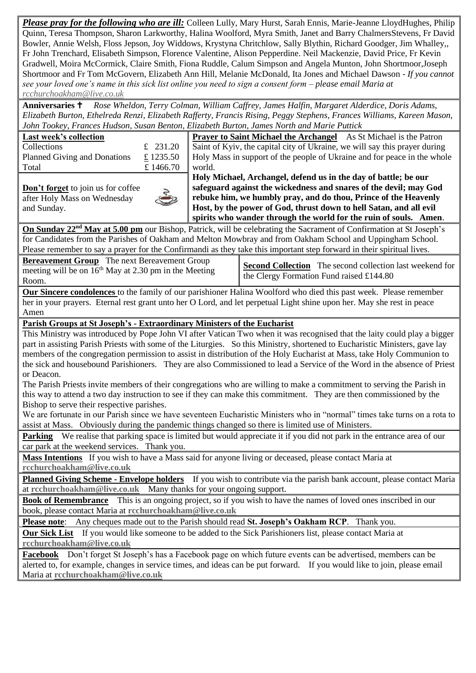*Please pray for the following who are ill:* Colleen Lully, Mary Hurst, Sarah Ennis, Marie-Jeanne LloydHughes, Philip Quinn, Teresa Thompson, Sharon Larkworthy, Halina Woolford, Myra Smith, Janet and Barry ChalmersStevens, Fr David Bowler, Annie Welsh, Floss Jepson, Joy Widdows, Krystyna Chritchlow, Sally Blythin, Richard Goodger, Jim Whalley,, Fr John Trenchard, Elisabeth Simpson, Florence Valentine, Alison Pepperdine. Neil Mackenzie, David Price, Fr Kevin Gradwell, Moira McCormick, Claire Smith, Fiona Ruddle, Calum Simpson and Angela Munton, John Shortmoor,Joseph Shortmoor and Fr Tom McGovern, Elizabeth Ann Hill, Melanie McDonald, Ita Jones and Michael Dawson *- If you cannot see your loved one's name in this sick list online you need to sign a consent form – please email Maria at [rcchurchoakham@live.co.uk](mailto:rcchurchoakham@live.co.uk)*

**Anniversaries** *Rose Wheldon, Terry Colman, William Caffrey, James Halfin, Margaret Alderdice, Doris Adams, Elizabeth Burton, Ethelreda Renzi, Elizabeth Rafferty, Francis Rising, Peggy Stephens, Frances Williams, Kareen Mason, John Tookey, Frances Hudson, Susan Benton, Elizabeth Burton, James North and Marie Puttick*

|                                                                                                                                                                                                                                                         | John Tookey, Frances Hudson, Susan Benton, Elizabeth Burton, James North and Marie Puttick                                                                                                                                                    |  |  |  |  |  |
|---------------------------------------------------------------------------------------------------------------------------------------------------------------------------------------------------------------------------------------------------------|-----------------------------------------------------------------------------------------------------------------------------------------------------------------------------------------------------------------------------------------------|--|--|--|--|--|
| Last week's collection                                                                                                                                                                                                                                  | <b>Prayer to Saint Michael the Archangel</b> As St Michael is the Patron                                                                                                                                                                      |  |  |  |  |  |
| Collections<br>£ $231.20$                                                                                                                                                                                                                               | Saint of Kyiv, the capital city of Ukraine, we will say this prayer during                                                                                                                                                                    |  |  |  |  |  |
| £1235.50<br>Planned Giving and Donations                                                                                                                                                                                                                | Holy Mass in support of the people of Ukraine and for peace in the whole                                                                                                                                                                      |  |  |  |  |  |
| £1466.70<br>Total                                                                                                                                                                                                                                       | world.                                                                                                                                                                                                                                        |  |  |  |  |  |
|                                                                                                                                                                                                                                                         | Holy Michael, Archangel, defend us in the day of battle; be our                                                                                                                                                                               |  |  |  |  |  |
| Don't forget to join us for coffee                                                                                                                                                                                                                      | safeguard against the wickedness and snares of the devil; may God                                                                                                                                                                             |  |  |  |  |  |
| after Holy Mass on Wednesday                                                                                                                                                                                                                            | rebuke him, we humbly pray, and do thou, Prince of the Heavenly                                                                                                                                                                               |  |  |  |  |  |
| and Sunday.                                                                                                                                                                                                                                             | Host, by the power of God, thrust down to hell Satan, and all evil                                                                                                                                                                            |  |  |  |  |  |
|                                                                                                                                                                                                                                                         | spirits who wander through the world for the ruin of souls. Amen.                                                                                                                                                                             |  |  |  |  |  |
| On Sunday 22 <sup>nd</sup> May at 5.00 pm our Bishop, Patrick, will be celebrating the Sacrament of Confirmation at St Joseph's                                                                                                                         |                                                                                                                                                                                                                                               |  |  |  |  |  |
| for Candidates from the Parishes of Oakham and Melton Mowbray and from Oakham School and Uppingham School.                                                                                                                                              |                                                                                                                                                                                                                                               |  |  |  |  |  |
| Please remember to say a prayer for the Confirmandi as they take this important step forward in their spiritual lives.                                                                                                                                  |                                                                                                                                                                                                                                               |  |  |  |  |  |
| <b>Bereavement Group</b> The next Bereavement Group                                                                                                                                                                                                     |                                                                                                                                                                                                                                               |  |  |  |  |  |
| meeting will be on 16 <sup>th</sup> May at 2.30 pm in the Meeting                                                                                                                                                                                       | <b>Second Collection</b> The second collection last weekend for                                                                                                                                                                               |  |  |  |  |  |
| Room.                                                                                                                                                                                                                                                   | the Clergy Formation Fund raised £144.80                                                                                                                                                                                                      |  |  |  |  |  |
|                                                                                                                                                                                                                                                         | Our Sincere condolences to the family of our parishioner Halina Woolford who died this past week. Please remember                                                                                                                             |  |  |  |  |  |
| her in your prayers. Eternal rest grant unto her O Lord, and let perpetual Light shine upon her. May she rest in peace                                                                                                                                  |                                                                                                                                                                                                                                               |  |  |  |  |  |
| Amen                                                                                                                                                                                                                                                    |                                                                                                                                                                                                                                               |  |  |  |  |  |
|                                                                                                                                                                                                                                                         |                                                                                                                                                                                                                                               |  |  |  |  |  |
| Parish Groups at St Joseph's - Extraordinary Ministers of the Eucharist                                                                                                                                                                                 |                                                                                                                                                                                                                                               |  |  |  |  |  |
| This Ministry was introduced by Pope John VI after Vatican Two when it was recognised that the laity could play a bigger<br>part in assisting Parish Priests with some of the Liturgies. So this Ministry, shortened to Eucharistic Ministers, gave lay |                                                                                                                                                                                                                                               |  |  |  |  |  |
|                                                                                                                                                                                                                                                         | members of the congregation permission to assist in distribution of the Holy Eucharist at Mass, take Holy Communion to                                                                                                                        |  |  |  |  |  |
|                                                                                                                                                                                                                                                         | the sick and housebound Parishioners. They are also Commissioned to lead a Service of the Word in the absence of Priest                                                                                                                       |  |  |  |  |  |
| or Deacon.                                                                                                                                                                                                                                              |                                                                                                                                                                                                                                               |  |  |  |  |  |
|                                                                                                                                                                                                                                                         |                                                                                                                                                                                                                                               |  |  |  |  |  |
|                                                                                                                                                                                                                                                         | The Parish Priests invite members of their congregations who are willing to make a commitment to serving the Parish in<br>this way to attend a two day instruction to see if they can make this commitment. They are then commissioned by the |  |  |  |  |  |
| Bishop to serve their respective parishes.                                                                                                                                                                                                              |                                                                                                                                                                                                                                               |  |  |  |  |  |
|                                                                                                                                                                                                                                                         |                                                                                                                                                                                                                                               |  |  |  |  |  |
| We are fortunate in our Parish since we have seventeen Eucharistic Ministers who in "normal" times take turns on a rota to<br>assist at Mass. Obviously during the pandemic things changed so there is limited use of Ministers.                        |                                                                                                                                                                                                                                               |  |  |  |  |  |
|                                                                                                                                                                                                                                                         |                                                                                                                                                                                                                                               |  |  |  |  |  |
|                                                                                                                                                                                                                                                         | Parking We realise that parking space is limited but would appreciate it if you did not park in the entrance area of our                                                                                                                      |  |  |  |  |  |
| car park at the weekend services. Thank you.                                                                                                                                                                                                            |                                                                                                                                                                                                                                               |  |  |  |  |  |
|                                                                                                                                                                                                                                                         | Mass Intentions If you wish to have a Mass said for anyone living or deceased, please contact Maria at                                                                                                                                        |  |  |  |  |  |
| rcchurchoakham@live.co.uk                                                                                                                                                                                                                               |                                                                                                                                                                                                                                               |  |  |  |  |  |
| Planned Giving Scheme - Envelope holders If you wish to contribute via the parish bank account, please contact Maria                                                                                                                                    |                                                                                                                                                                                                                                               |  |  |  |  |  |
| at rechurchoakham@live.co.uk Many thanks for your ongoing support.                                                                                                                                                                                      |                                                                                                                                                                                                                                               |  |  |  |  |  |
| This is an ongoing project, so if you wish to have the names of loved ones inscribed in our<br><b>Book of Remembrance</b>                                                                                                                               |                                                                                                                                                                                                                                               |  |  |  |  |  |
| book, please contact Maria at rechurchoakham@live.co.uk                                                                                                                                                                                                 |                                                                                                                                                                                                                                               |  |  |  |  |  |
| Any cheques made out to the Parish should read St. Joseph's Oakham RCP. Thank you.<br><b>Please note:</b>                                                                                                                                               |                                                                                                                                                                                                                                               |  |  |  |  |  |
| <b>Our Sick List</b> If you would like someone to be added to the Sick Parishioners list, please contact Maria at                                                                                                                                       |                                                                                                                                                                                                                                               |  |  |  |  |  |
| rcchurchoakham@live.co.uk                                                                                                                                                                                                                               |                                                                                                                                                                                                                                               |  |  |  |  |  |
| Don't forget St Joseph's has a Facebook page on which future events can be advertised, members can be<br>Facebook                                                                                                                                       |                                                                                                                                                                                                                                               |  |  |  |  |  |
| alerted to, for example, changes in service times, and ideas can be put forward. If you would like to join, please email                                                                                                                                |                                                                                                                                                                                                                                               |  |  |  |  |  |
| Maria at rcchurchoakham@live.co.uk                                                                                                                                                                                                                      |                                                                                                                                                                                                                                               |  |  |  |  |  |